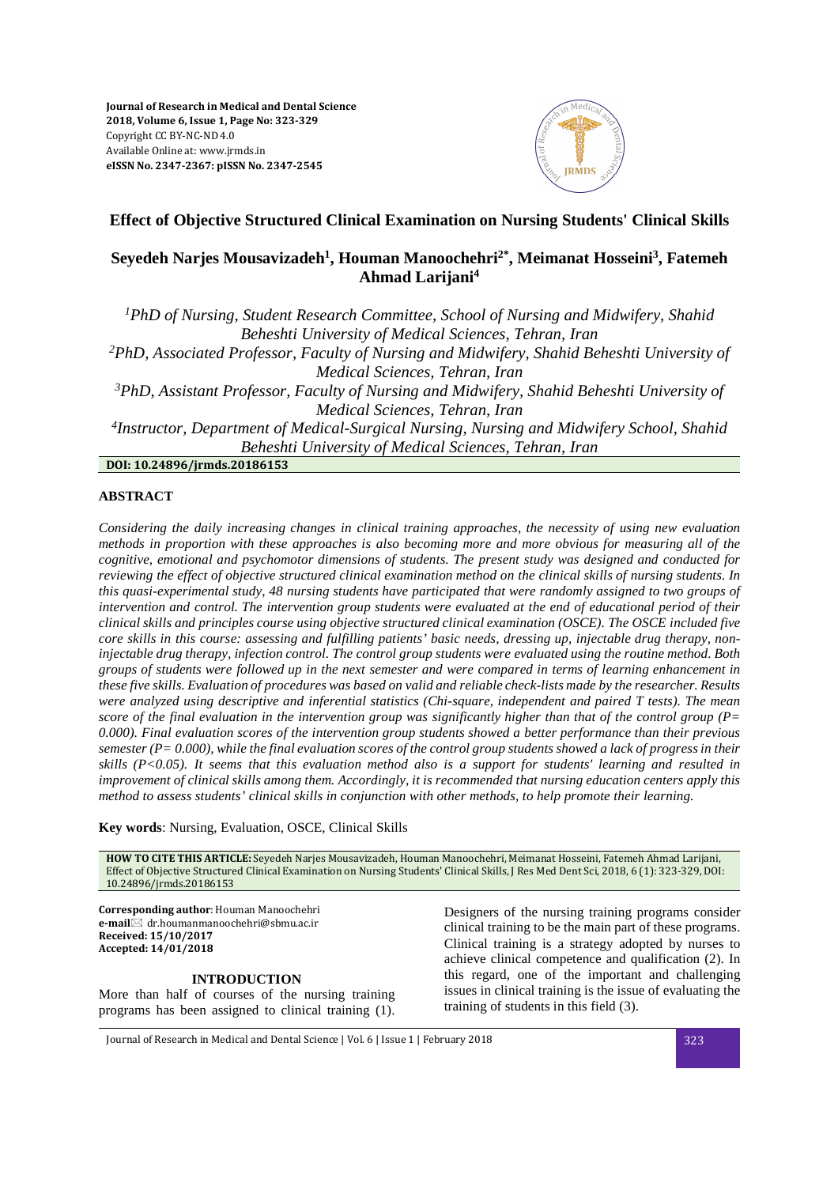

# **Effect of Objective Structured Clinical Examination on Nursing Students' Clinical Skills**

# **Seyedeh Narjes Mousavizadeh<sup>1</sup> , Houman Manoochehri2\*, Meimanat Hosseini<sup>3</sup> , Fatemeh Ahmad Larijani<sup>4</sup>**

*<sup>1</sup>PhD of Nursing, Student Research Committee, School of Nursing and Midwifery, Shahid Beheshti University of Medical Sciences, Tehran, Iran <sup>2</sup>PhD, Associated Professor, Faculty of Nursing and Midwifery, Shahid Beheshti University of Medical Sciences, Tehran, Iran <sup>3</sup>PhD, Assistant Professor, Faculty of Nursing and Midwifery, Shahid Beheshti University of Medical Sciences, Tehran, Iran 4 Instructor, Department of Medical-Surgical Nursing, Nursing and Midwifery School, Shahid Beheshti University of Medical Sciences, Tehran, Iran* **DOI: 10.24896/jrmds.20186153**

**ABSTRACT** 

*Considering the daily increasing changes in clinical training approaches, the necessity of using new evaluation methods in proportion with these approaches is also becoming more and more obvious for measuring all of the cognitive, emotional and psychomotor dimensions of students. The present study was designed and conducted for reviewing the effect of objective structured clinical examination method on the clinical skills of nursing students. In this quasi-experimental study, 48 nursing students have participated that were randomly assigned to two groups of intervention and control. The intervention group students were evaluated at the end of educational period of their clinical skills and principles course using objective structured clinical examination (OSCE). The OSCE included five core skills in this course: assessing and fulfilling patients' basic needs, dressing up, injectable drug therapy, noninjectable drug therapy, infection control. The control group students were evaluated using the routine method. Both groups of students were followed up in the next semester and were compared in terms of learning enhancement in these five skills. Evaluation of procedures was based on valid and reliable check-lists made by the researcher. Results were analyzed using descriptive and inferential statistics (Chi-square, independent and paired T tests). The mean score of the final evaluation in the intervention group was significantly higher than that of the control group (P= 0.000). Final evaluation scores of the intervention group students showed a better performance than their previous semester (P= 0.000), while the final evaluation scores of the control group students showed a lack of progress in their skills (P<0.05). It seems that this evaluation method also is a support for students' learning and resulted in improvement of clinical skills among them. Accordingly, it is recommended that nursing education centers apply this method to assess students' clinical skills in conjunction with other methods, to help promote their learning.* 

**Key words**: Nursing, Evaluation, OSCE, Clinical Skills

**HOW TO CITE THIS ARTICLE:** Seyedeh Narjes Mousavizadeh, Houman Manoochehri, Meimanat Hosseini, Fatemeh Ahmad Larijani, Effect of Objective Structured Clinical Examination on Nursing Students' Clinical Skills, J Res Med Dent Sci, 2018, 6 (1): 323-329, DOI: 10.24896/jrmds.20186153

**Corresponding author**: Houman Manoochehri **e-mail** dr.houmanmanoochehri@sbmu.ac.ir **Received: 15/10/2017 Accepted: 14/01/2018** 

# **INTRODUCTION**

More than half of courses of the nursing training programs has been assigned to clinical training (1).

Designers of the nursing training programs consider clinical training to be the main part of these programs. Clinical training is a strategy adopted by nurses to achieve clinical competence and qualification (2). In this regard, one of the important and challenging issues in clinical training is the issue of evaluating the training of students in this field (3).

Journal of Research in Medical and Dental Science | Vol. 6 | Issue 1 | February 2018 323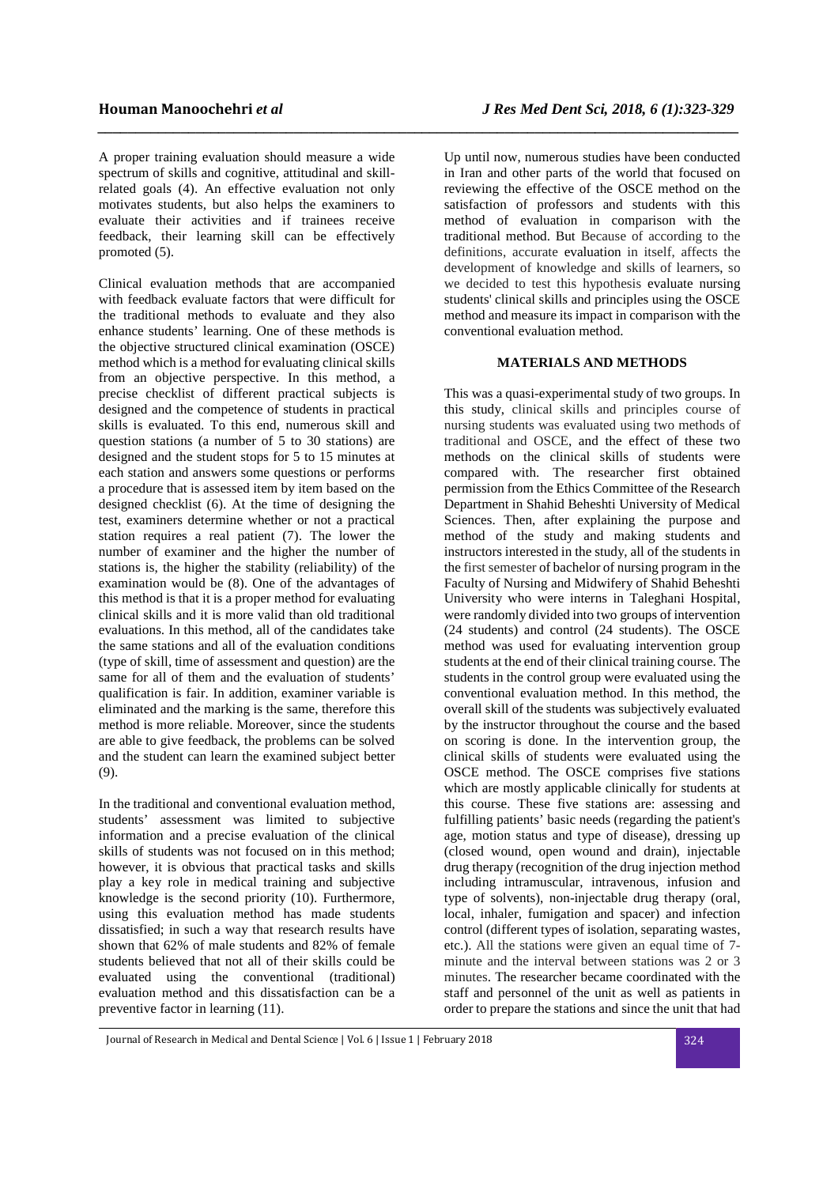A proper training evaluation should measure a wide spectrum of skills and cognitive, attitudinal and skillrelated goals (4). An effective evaluation not only motivates students, but also helps the examiners to evaluate their activities and if trainees receive feedback, their learning skill can be effectively promoted (5).

*\_\_\_\_\_\_\_\_\_\_\_\_\_\_\_\_\_\_\_\_\_\_\_\_\_\_\_\_\_\_\_\_\_\_\_\_\_\_\_\_\_\_\_\_\_\_\_\_\_\_\_\_\_\_\_\_\_\_\_\_\_\_\_\_\_\_\_\_\_\_\_\_\_\_\_\_\_\_\_\_\_\_\_\_\_*

Clinical evaluation methods that are accompanied with feedback evaluate factors that were difficult for the traditional methods to evaluate and they also enhance students' learning. One of these methods is the objective structured clinical examination (OSCE) method which is a method for evaluating clinical skills from an objective perspective. In this method, a precise checklist of different practical subjects is designed and the competence of students in practical skills is evaluated. To this end, numerous skill and question stations (a number of 5 to 30 stations) are designed and the student stops for 5 to 15 minutes at each station and answers some questions or performs a procedure that is assessed item by item based on the designed checklist (6). At the time of designing the test, examiners determine whether or not a practical station requires a real patient (7). The lower the number of examiner and the higher the number of stations is, the higher the stability (reliability) of the examination would be (8). One of the advantages of this method is that it is a proper method for evaluating clinical skills and it is more valid than old traditional evaluations. In this method, all of the candidates take the same stations and all of the evaluation conditions (type of skill, time of assessment and question) are the same for all of them and the evaluation of students' qualification is fair. In addition, examiner variable is eliminated and the marking is the same, therefore this method is more reliable. Moreover, since the students are able to give feedback, the problems can be solved and the student can learn the examined subject better (9).

In the traditional and conventional evaluation method, students' assessment was limited to subjective information and a precise evaluation of the clinical skills of students was not focused on in this method; however, it is obvious that practical tasks and skills play a key role in medical training and subjective knowledge is the second priority (10). Furthermore, using this evaluation method has made students dissatisfied; in such a way that research results have shown that 62% of male students and 82% of female students believed that not all of their skills could be evaluated using the conventional (traditional) evaluation method and this dissatisfaction can be a preventive factor in learning (11).

Up until now, numerous studies have been conducted in Iran and other parts of the world that focused on reviewing the effective of the OSCE method on the satisfaction of professors and students with this method of evaluation in comparison with the traditional method. But Because of according to the definitions, accurate evaluation in itself, affects the development of knowledge and skills of learners, so we decided to test this hypothesis evaluate nursing students' clinical skills and principles using the OSCE method and measure its impact in comparison with the conventional evaluation method.

# **MATERIALS AND METHODS**

This was a quasi-experimental study of two groups. In this study, clinical skills and principles course of nursing students was evaluated using two methods of traditional and OSCE, and the effect of these two methods on the clinical skills of students were compared with. The researcher first obtained permission from the Ethics Committee of the Research Department in Shahid Beheshti University of Medical Sciences. Then, after explaining the purpose and method of the study and making students and instructors interested in the study, all of the students in the first semester of bachelor of nursing program in the Faculty of Nursing and Midwifery of Shahid Beheshti University who were interns in Taleghani Hospital, were randomly divided into two groups of intervention (24 students) and control (24 students). The OSCE method was used for evaluating intervention group students at the end of their clinical training course. The students in the control group were evaluated using the conventional evaluation method. In this method, the overall skill of the students was subjectively evaluated by the instructor throughout the course and the based on scoring is done. In the intervention group, the clinical skills of students were evaluated using the OSCE method. The OSCE comprises five stations which are mostly applicable clinically for students at this course. These five stations are: assessing and fulfilling patients' basic needs (regarding the patient's age, motion status and type of disease), dressing up (closed wound, open wound and drain), injectable drug therapy (recognition of the drug injection method including intramuscular, intravenous, infusion and type of solvents), non-injectable drug therapy (oral, local, inhaler, fumigation and spacer) and infection control (different types of isolation, separating wastes, etc.). All the stations were given an equal time of 7 minute and the interval between stations was 2 or 3 minutes. The researcher became coordinated with the staff and personnel of the unit as well as patients in order to prepare the stations and since the unit that had

Journal of Research in Medical and Dental Science | Vol. 6 | Issue 1 | February 2018 324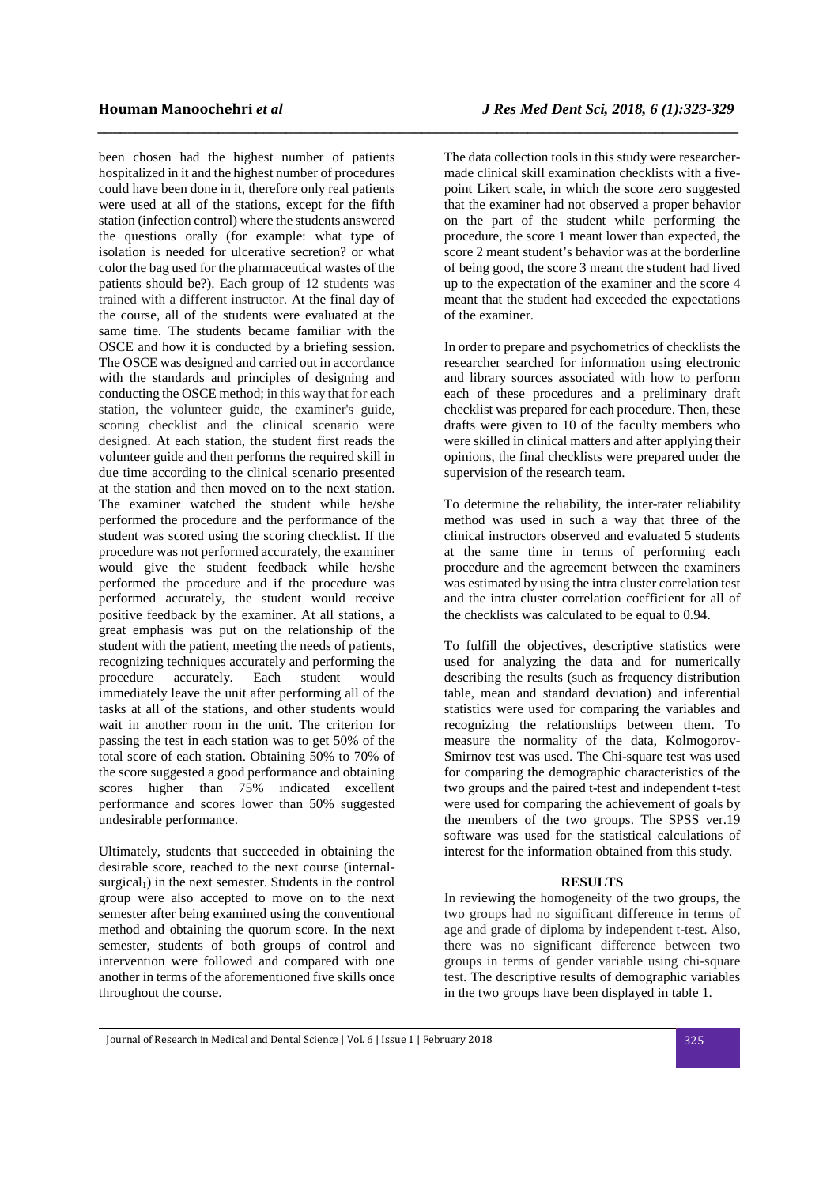been chosen had the highest number of patients hospitalized in it and the highest number of procedures could have been done in it, therefore only real patients were used at all of the stations, except for the fifth station (infection control) where the students answered the questions orally (for example: what type of isolation is needed for ulcerative secretion? or what color the bag used for the pharmaceutical wastes of the patients should be?). Each group of 12 students was trained with a different instructor. At the final day of the course, all of the students were evaluated at the same time. The students became familiar with the OSCE and how it is conducted by a briefing session. The OSCE was designed and carried out in accordance with the standards and principles of designing and conducting the OSCE method; in this way that for each station, the volunteer guide, the examiner's guide, scoring checklist and the clinical scenario were designed. At each station, the student first reads the volunteer guide and then performs the required skill in due time according to the clinical scenario presented at the station and then moved on to the next station. The examiner watched the student while he/she performed the procedure and the performance of the student was scored using the scoring checklist. If the procedure was not performed accurately, the examiner would give the student feedback while he/she performed the procedure and if the procedure was performed accurately, the student would receive positive feedback by the examiner. At all stations, a great emphasis was put on the relationship of the student with the patient, meeting the needs of patients, recognizing techniques accurately and performing the procedure accurately. Each student would immediately leave the unit after performing all of the tasks at all of the stations, and other students would wait in another room in the unit. The criterion for passing the test in each station was to get 50% of the total score of each station. Obtaining 50% to 70% of the score suggested a good performance and obtaining scores higher than 75% indicated excellent performance and scores lower than 50% suggested undesirable performance.

Ultimately, students that succeeded in obtaining the desirable score, reached to the next course (internal $surgical<sub>1</sub>$ ) in the next semester. Students in the control group were also accepted to move on to the next semester after being examined using the conventional method and obtaining the quorum score. In the next semester, students of both groups of control and intervention were followed and compared with one another in terms of the aforementioned five skills once throughout the course.

*\_\_\_\_\_\_\_\_\_\_\_\_\_\_\_\_\_\_\_\_\_\_\_\_\_\_\_\_\_\_\_\_\_\_\_\_\_\_\_\_\_\_\_\_\_\_\_\_\_\_\_\_\_\_\_\_\_\_\_\_\_\_\_\_\_\_\_\_\_\_\_\_\_\_\_\_\_\_\_\_\_\_\_\_\_*

The data collection tools in this study were researchermade clinical skill examination checklists with a fivepoint Likert scale, in which the score zero suggested that the examiner had not observed a proper behavior on the part of the student while performing the procedure, the score 1 meant lower than expected, the score 2 meant student's behavior was at the borderline of being good, the score 3 meant the student had lived up to the expectation of the examiner and the score 4 meant that the student had exceeded the expectations of the examiner.

In order to prepare and psychometrics of checklists the researcher searched for information using electronic and library sources associated with how to perform each of these procedures and a preliminary draft checklist was prepared for each procedure. Then, these drafts were given to 10 of the faculty members who were skilled in clinical matters and after applying their opinions, the final checklists were prepared under the supervision of the research team.

To determine the reliability, the inter-rater reliability method was used in such a way that three of the clinical instructors observed and evaluated 5 students at the same time in terms of performing each procedure and the agreement between the examiners was estimated by using the intra cluster correlation test and the intra cluster correlation coefficient for all of the checklists was calculated to be equal to 0.94.

To fulfill the objectives, descriptive statistics were used for analyzing the data and for numerically describing the results (such as frequency distribution table, mean and standard deviation) and inferential statistics were used for comparing the variables and recognizing the relationships between them. To measure the normality of the data, Kolmogorov-Smirnov test was used. The Chi-square test was used for comparing the demographic characteristics of the two groups and the paired t-test and independent t-test were used for comparing the achievement of goals by the members of the two groups. The SPSS ver.19 software was used for the statistical calculations of interest for the information obtained from this study.

## **RESULTS**

In reviewing the homogeneity of the two groups, the two groups had no significant difference in terms of age and grade of diploma by independent t-test. Also, there was no significant difference between two groups in terms of gender variable using chi-square test. The descriptive results of demographic variables in the two groups have been displayed in table 1.

Journal of Research in Medical and Dental Science | Vol. 6 | Issue 1 | February 2018 325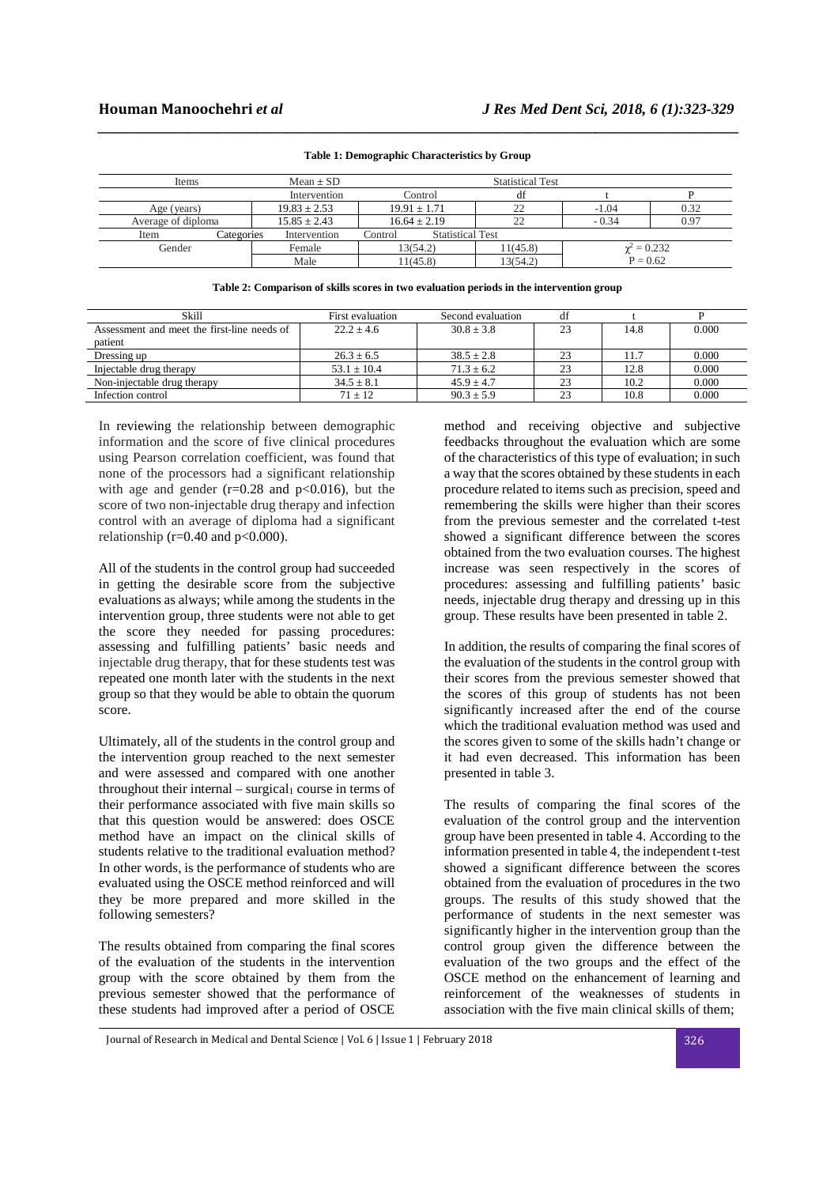| Items       |                                        | $Mean + SD$      | <b>Statistical Test</b>            |          |                  |      |  |
|-------------|----------------------------------------|------------------|------------------------------------|----------|------------------|------|--|
|             |                                        | Intervention     | Control                            | df       |                  |      |  |
| Age (years) |                                        | $19.83 \pm 2.53$ | $19.91 + 1.71$                     | າາ       | $-1.04$          | 0.32 |  |
|             | $15.85 \pm 2.43$<br>Average of diploma |                  | $16.64 \pm 2.19$                   | າາ       | $-0.34$          | 0.97 |  |
| Item        | Categories                             | Intervention     | <b>Statistical Test</b><br>Control |          |                  |      |  |
| Gender      |                                        | Female           | 13(54.2)                           | 11(45.8) | $\chi^2 = 0.232$ |      |  |
|             |                                        | Male             | 11(45.8)                           | 13(54.2) | $P = 0.62$       |      |  |

#### **Table 1: Demographic Characteristics by Group**

*\_\_\_\_\_\_\_\_\_\_\_\_\_\_\_\_\_\_\_\_\_\_\_\_\_\_\_\_\_\_\_\_\_\_\_\_\_\_\_\_\_\_\_\_\_\_\_\_\_\_\_\_\_\_\_\_\_\_\_\_\_\_\_\_\_\_\_\_\_\_\_\_\_\_\_\_\_\_\_\_\_\_\_\_\_*

**Table 2: Comparison of skills scores in two evaluation periods in the intervention group** 

| Skill                                       | First evaluation | Second evaluation | df |      |       |
|---------------------------------------------|------------------|-------------------|----|------|-------|
| Assessment and meet the first-line needs of | $22.2 + 4.6$     | $30.8 + 3.8$      | 23 | 14.8 | 0.000 |
| patient                                     |                  |                   |    |      |       |
| Dressing up                                 | $26.3 \pm 6.5$   | $38.5 \pm 2.8$    | 23 | 11.7 | 0.000 |
| Injectable drug therapy                     | $53.1 \pm 10.4$  | $71.3 \pm 6.2$    | 23 | 12.8 | 0.000 |
| Non-injectable drug therapy                 | $34.5 \pm 8.1$   | $45.9 + 4.7$      | 23 | 10.2 | 0.000 |
| Infection control                           | $71 \pm 12$      | $90.3 \pm 5.9$    | 23 | 10.8 | 0.000 |

In reviewing the relationship between demographic information and the score of five clinical procedures using Pearson correlation coefficient, was found that none of the processors had a significant relationship with age and gender  $(r=0.28$  and  $p<0.016$ ), but the score of two non-injectable drug therapy and infection control with an average of diploma had a significant relationship ( $r=0.40$  and  $p<0.000$ ).

All of the students in the control group had succeeded in getting the desirable score from the subjective evaluations as always; while among the students in the intervention group, three students were not able to get the score they needed for passing procedures: assessing and fulfilling patients' basic needs and injectable drug therapy, that for these students test was repeated one month later with the students in the next group so that they would be able to obtain the quorum score.

Ultimately, all of the students in the control group and the intervention group reached to the next semester and were assessed and compared with one another throughout their internal – surgical<sub>1</sub> course in terms of their performance associated with five main skills so that this question would be answered: does OSCE method have an impact on the clinical skills of students relative to the traditional evaluation method? In other words, is the performance of students who are evaluated using the OSCE method reinforced and will they be more prepared and more skilled in the following semesters?

The results obtained from comparing the final scores of the evaluation of the students in the intervention group with the score obtained by them from the previous semester showed that the performance of these students had improved after a period of OSCE

method and receiving objective and subjective feedbacks throughout the evaluation which are some of the characteristics of this type of evaluation; in such a way that the scores obtained by these students in each procedure related to items such as precision, speed and remembering the skills were higher than their scores from the previous semester and the correlated t-test showed a significant difference between the scores obtained from the two evaluation courses. The highest increase was seen respectively in the scores of procedures: assessing and fulfilling patients' basic needs, injectable drug therapy and dressing up in this group. These results have been presented in table 2.

In addition, the results of comparing the final scores of the evaluation of the students in the control group with their scores from the previous semester showed that the scores of this group of students has not been significantly increased after the end of the course which the traditional evaluation method was used and the scores given to some of the skills hadn't change or it had even decreased. This information has been presented in table 3.

The results of comparing the final scores of the evaluation of the control group and the intervention group have been presented in table 4. According to the information presented in table 4, the independent t-test showed a significant difference between the scores obtained from the evaluation of procedures in the two groups. The results of this study showed that the performance of students in the next semester was significantly higher in the intervention group than the control group given the difference between the evaluation of the two groups and the effect of the OSCE method on the enhancement of learning and reinforcement of the weaknesses of students in association with the five main clinical skills of them;

Journal of Research in Medical and Dental Science | Vol. 6 | Issue 1 | February 2018 326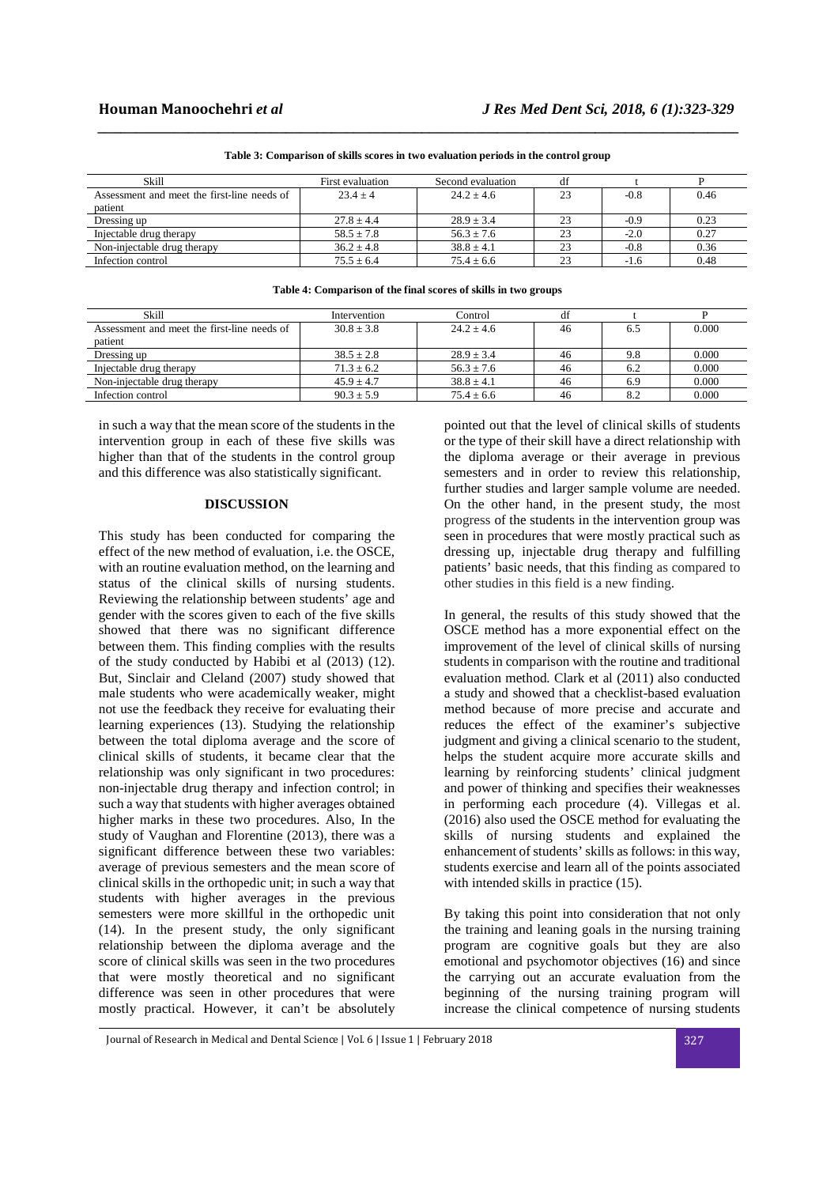| Skill                                       | First evaluation | Second evaluation | df |        |      |
|---------------------------------------------|------------------|-------------------|----|--------|------|
| Assessment and meet the first-line needs of | $23.4 + 4$       | $24.2 + 4.6$      | 23 | $-0.8$ | 0.46 |
| patient                                     |                  |                   |    |        |      |
| Dressing up                                 | $27.8 \pm 4.4$   | $28.9 \pm 3.4$    | 23 | $-0.9$ | 0.23 |
| Injectable drug therapy                     | $58.5 \pm 7.8$   | $56.3 \pm 7.6$    | 23 | $-2.0$ | 0.27 |
| Non-injectable drug therapy                 | $36.2 + 4.8$     | $38.8 \pm 4.1$    | 23 | $-0.8$ | 0.36 |
| Infection control                           | $75.5 + 6.4$     | $75.4 + 6.6$      | 23 | $-1.6$ | 0.48 |
|                                             |                  |                   |    |        |      |

**Table 3: Comparison of skills scores in two evaluation periods in the control group** 

*\_\_\_\_\_\_\_\_\_\_\_\_\_\_\_\_\_\_\_\_\_\_\_\_\_\_\_\_\_\_\_\_\_\_\_\_\_\_\_\_\_\_\_\_\_\_\_\_\_\_\_\_\_\_\_\_\_\_\_\_\_\_\_\_\_\_\_\_\_\_\_\_\_\_\_\_\_\_\_\_\_\_\_\_\_*

|  | Table 4: Comparison of the final scores of skills in two groups |
|--|-----------------------------------------------------------------|
|  |                                                                 |

| Skill                                       | Intervention   | Control        | df |     |       |
|---------------------------------------------|----------------|----------------|----|-----|-------|
| Assessment and meet the first-line needs of | $30.8 + 3.8$   | $24.2 + 4.6$   | 46 | 6.5 | 0.000 |
| patient                                     |                |                |    |     |       |
| Dressing up                                 | $38.5 \pm 2.8$ | $28.9 \pm 3.4$ | 46 | 9.8 | 0.000 |
| Injectable drug therapy                     | $71.3 \pm 6.2$ | $56.3 \pm 7.6$ | 46 | 6.2 | 0.000 |
| Non-injectable drug therapy                 | $45.9 \pm 4.7$ | $38.8 \pm 4.1$ | 46 | 6.9 | 0.000 |
| Infection control                           | $90.3 + 5.9$   | $75.4 \pm 6.6$ | 46 | 8.2 | 0.000 |

in such a way that the mean score of the students in the intervention group in each of these five skills was higher than that of the students in the control group and this difference was also statistically significant.

# **DISCUSSION**

This study has been conducted for comparing the effect of the new method of evaluation, i.e. the OSCE, with an routine evaluation method, on the learning and status of the clinical skills of nursing students. Reviewing the relationship between students' age and gender with the scores given to each of the five skills showed that there was no significant difference between them. This finding complies with the results of the study conducted by Habibi et al (2013) (12). But, Sinclair and Cleland (2007) study showed that male students who were academically weaker, might not use the feedback they receive for evaluating their learning experiences (13). Studying the relationship between the total diploma average and the score of clinical skills of students, it became clear that the relationship was only significant in two procedures: non-injectable drug therapy and infection control; in such a way that students with higher averages obtained higher marks in these two procedures. Also, In the study of Vaughan and Florentine (2013), there was a significant difference between these two variables: average of previous semesters and the mean score of clinical skills in the orthopedic unit; in such a way that students with higher averages in the previous semesters were more skillful in the orthopedic unit (14). In the present study, the only significant relationship between the diploma average and the score of clinical skills was seen in the two procedures that were mostly theoretical and no significant difference was seen in other procedures that were mostly practical. However, it can't be absolutely

pointed out that the level of clinical skills of students or the type of their skill have a direct relationship with the diploma average or their average in previous semesters and in order to review this relationship, further studies and larger sample volume are needed. On the other hand, in the present study, the most progress of the students in the intervention group was seen in procedures that were mostly practical such as dressing up, injectable drug therapy and fulfilling patients' basic needs, that this finding as compared to other studies in this field is a new finding.

In general, the results of this study showed that the OSCE method has a more exponential effect on the improvement of the level of clinical skills of nursing students in comparison with the routine and traditional evaluation method. Clark et al (2011) also conducted a study and showed that a checklist-based evaluation method because of more precise and accurate and reduces the effect of the examiner's subjective judgment and giving a clinical scenario to the student, helps the student acquire more accurate skills and learning by reinforcing students' clinical judgment and power of thinking and specifies their weaknesses in performing each procedure (4). Villegas et al.  $(2016)$  also used the OSCE method for evaluating the skills of nursing students and explained the enhancement of students' skills as follows: in this way, students exercise and learn all of the points associated with intended skills in practice (15).

By taking this point into consideration that not only the training and leaning goals in the nursing training program are cognitive goals but they are also emotional and psychomotor objectives (16) and since the carrying out an accurate evaluation from the beginning of the nursing training program will increase the clinical competence of nursing students

Journal of Research in Medical and Dental Science | Vol. 6 | Issue 1 | February 2018 327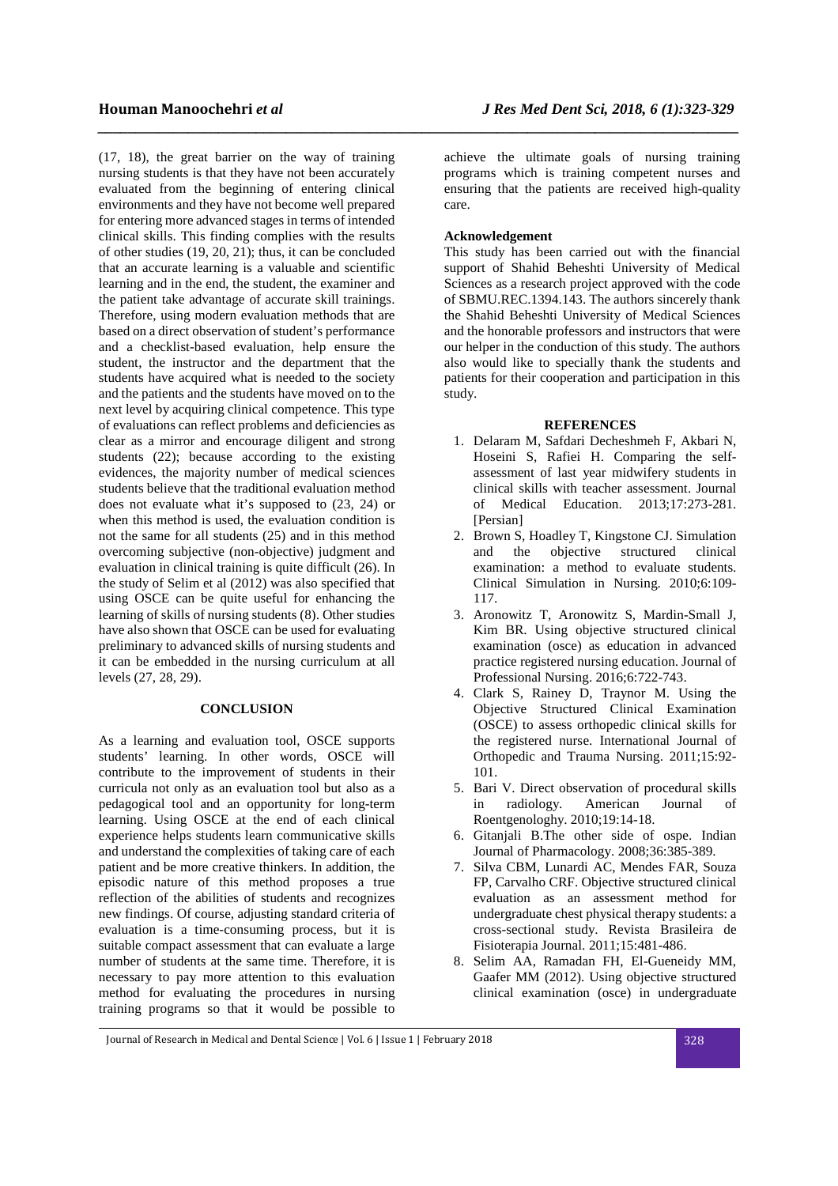(17, 18), the great barrier on the way of training nursing students is that they have not been accurately evaluated from the beginning of entering clinical environments and they have not become well prepared for entering more advanced stages in terms of intended clinical skills. This finding complies with the results of other studies (19, 20, 21); thus, it can be concluded that an accurate learning is a valuable and scientific learning and in the end, the student, the examiner and the patient take advantage of accurate skill trainings. Therefore, using modern evaluation methods that are based on a direct observation of student's performance and a checklist-based evaluation, help ensure the student, the instructor and the department that the students have acquired what is needed to the society and the patients and the students have moved on to the next level by acquiring clinical competence. This type of evaluations can reflect problems and deficiencies as clear as a mirror and encourage diligent and strong students (22); because according to the existing evidences, the majority number of medical sciences students believe that the traditional evaluation method does not evaluate what it's supposed to (23, 24) or when this method is used, the evaluation condition is not the same for all students (25) and in this method overcoming subjective (non-objective) judgment and evaluation in clinical training is quite difficult (26). In the study of Selim et al (2012) was also specified that using OSCE can be quite useful for enhancing the learning of skills of nursing students (8). Other studies have also shown that OSCE can be used for evaluating preliminary to advanced skills of nursing students and it can be embedded in the nursing curriculum at all levels (27, 28, 29).

### **CONCLUSION**

As a learning and evaluation tool, OSCE supports students' learning. In other words, OSCE will contribute to the improvement of students in their curricula not only as an evaluation tool but also as a pedagogical tool and an opportunity for long-term learning. Using OSCE at the end of each clinical experience helps students learn communicative skills and understand the complexities of taking care of each patient and be more creative thinkers. In addition, the episodic nature of this method proposes a true reflection of the abilities of students and recognizes new findings. Of course, adjusting standard criteria of evaluation is a time-consuming process, but it is suitable compact assessment that can evaluate a large number of students at the same time. Therefore, it is necessary to pay more attention to this evaluation method for evaluating the procedures in nursing training programs so that it would be possible to

achieve the ultimate goals of nursing training programs which is training competent nurses and ensuring that the patients are received high-quality care.

### **Acknowledgement**

*\_\_\_\_\_\_\_\_\_\_\_\_\_\_\_\_\_\_\_\_\_\_\_\_\_\_\_\_\_\_\_\_\_\_\_\_\_\_\_\_\_\_\_\_\_\_\_\_\_\_\_\_\_\_\_\_\_\_\_\_\_\_\_\_\_\_\_\_\_\_\_\_\_\_\_\_\_\_\_\_\_\_\_\_\_*

This study has been carried out with the financial support of Shahid Beheshti University of Medical Sciences as a research project approved with the code of SBMU.REC.1394.143. The authors sincerely thank the Shahid Beheshti University of Medical Sciences and the honorable professors and instructors that were our helper in the conduction of this study. The authors also would like to specially thank the students and patients for their cooperation and participation in this study.

## **REFERENCES**

- 1. Delaram M, Safdari Decheshmeh F, Akbari N, Hoseini S, Rafiei H. Comparing the selfassessment of last year midwifery students in clinical skills with teacher assessment. Journal of Medical Education. 2013;17:273-281. [Persian]
- 2. Brown S, Hoadley T, Kingstone CJ. Simulation and the objective structured clinical examination: a method to evaluate students. Clinical Simulation in Nursing. 2010;6:109- 117.
- 3. Aronowitz T, Aronowitz S, Mardin-Small J, Kim BR. Using objective structured clinical examination (osce) as education in advanced practice registered nursing education. Journal of Professional Nursing. 2016;6:722-743.
- 4. Clark S, Rainey D, Traynor M. Using the Objective Structured Clinical Examination (OSCE) to assess orthopedic clinical skills for the registered nurse. International Journal of Orthopedic and Trauma Nursing. 2011;15:92- 101.
- 5. Bari V. Direct observation of procedural skills in radiology. American Journal of Roentgenologhy. 2010;19:14-18.
- 6. Gitanjali B.The other side of ospe. Indian Journal of Pharmacology. 2008;36:385-389.
- 7. Silva CBM, Lunardi AC, Mendes FAR, Souza FP, Carvalho CRF. Objective structured clinical evaluation as an assessment method for undergraduate chest physical therapy students: a cross-sectional study. Revista Brasileira de Fisioterapia Journal. 2011;15:481-486.
- 8. Selim AA, Ramadan FH, El-Gueneidy MM, Gaafer MM (2012). Using objective structured clinical examination (osce) in undergraduate

Journal of Research in Medical and Dental Science | Vol. 6 | Issue 1 | February 2018 328